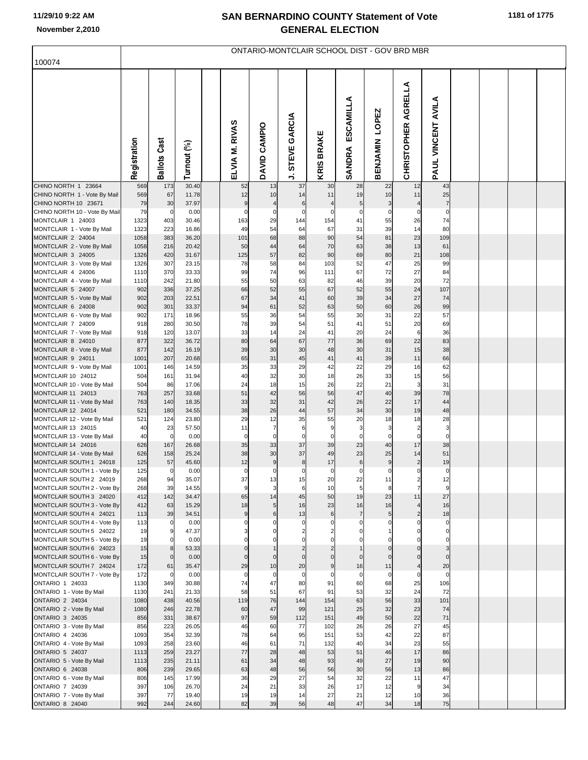## **SAN BERNARDINO COUNTY Statement of Vote November 2,2010 GENERAL ELECTION**

| 100074                                                 | ONTARIO-MONTCLAIR SCHOOL DIST - GOV BRD MBR |                      |                |  |                      |                               |                      |                      |                                           |                              |                                           |                               |  |  |  |
|--------------------------------------------------------|---------------------------------------------|----------------------|----------------|--|----------------------|-------------------------------|----------------------|----------------------|-------------------------------------------|------------------------------|-------------------------------------------|-------------------------------|--|--|--|
|                                                        |                                             |                      |                |  |                      |                               |                      |                      |                                           |                              |                                           |                               |  |  |  |
|                                                        | Registration                                | <b>Ballots Cast</b>  | Turnout (%)    |  | ELVIA M. RIVAS       | DAVID CAMPIO                  | STEVE GARCIA<br>→    | <b>KRIS BRAKE</b>    | ESCAMILLA<br>SANDRA                       | LOPEZ<br><b>BENJAMIN</b>     | AGRELLA<br><b>CHRISTOPHER</b>             | <b>VINCENT AVILA</b><br>PAUL  |  |  |  |
| CHINO NORTH 1 23664                                    | 569                                         | 173                  | 30.40          |  | 52                   | 13                            | 37                   | 30                   | 28                                        | 22                           | 12                                        | 43                            |  |  |  |
| CHINO NORTH 1 - Vote By Mail<br>CHINO NORTH 10 23671   | 569<br>79                                   | 67<br>30             | 11.78<br>37.97 |  | 12<br>9              | 10<br>4                       | 14<br>6              | 11<br>4              | 19<br>$\overline{5}$                      | 10<br>3                      | 11                                        | 25<br>$\overline{7}$          |  |  |  |
| CHINO NORTH 10 - Vote By Mail                          | 79                                          | 0                    | 0.00           |  | $\mathbf 0$          | 0                             | $\pmb{0}$            | 0                    | 0                                         | 0                            | 0                                         | 0                             |  |  |  |
| MONTCLAIR 1 24003                                      | 1323                                        | 403                  | 30.46          |  | 163                  | 29                            | 144                  | 154                  | 41                                        | 55                           | 26                                        | 74                            |  |  |  |
| MONTCLAIR 1 - Vote By Mail<br>MONTCLAIR 2 24004        | 1323<br>1058                                | 223<br>383           | 16.86<br>36.20 |  | 49<br>101            | 54<br>68                      | 64<br>88             | 67<br>90             | 31<br>54                                  | 39<br>81                     | 14<br>23                                  | 80<br>109                     |  |  |  |
| MONTCLAIR 2 - Vote By Mail                             | 1058                                        | 216                  | 20.42          |  | 50                   | 44                            | 64                   | 70                   | 63                                        | 38                           | 13                                        | 61                            |  |  |  |
| MONTCLAIR 3 24005                                      | 1326                                        | 420                  | 31.67          |  | 125                  | 57                            | 82                   | 90                   | 69                                        | 80                           | 21                                        | 108                           |  |  |  |
| MONTCLAIR 3 - Vote By Mail<br>MONTCLAIR 4 24006        | 1326<br>1110                                | 307<br>370           | 23.15<br>33.33 |  | 78<br>99             | 58<br>74                      | 84<br>96             | 103<br>111           | 52<br>67                                  | 47<br>72                     | 25<br>27                                  | 99<br>84                      |  |  |  |
| MONTCLAIR 4 - Vote By Mail                             | 1110                                        | 242                  | 21.80          |  | 55                   | 50                            | 63                   | 82                   | 46                                        | 39                           | 20                                        | 72                            |  |  |  |
| MONTCLAIR 5 24007                                      | 902                                         | 336                  | 37.25          |  | 66                   | 52                            | 55                   | 67                   | 52                                        | 55                           | 24                                        | 107                           |  |  |  |
| MONTCLAIR 5 - Vote By Mail                             | 902                                         | 203                  | 22.51          |  | 67                   | 34                            | 41                   | 60                   | 39                                        | 34                           | 27                                        | 74                            |  |  |  |
| MONTCLAIR 6 24008<br>MONTCLAIR 6 - Vote By Mail        | 902<br>902                                  | 301<br>171           | 33.37<br>18.96 |  | 94<br>55             | 61<br>36                      | 52<br>54             | 63<br>55             | 50<br>30                                  | 60<br>31                     | 26<br>22                                  | 99<br>57                      |  |  |  |
| MONTCLAIR 7 24009                                      | 918                                         | 280                  | 30.50          |  | 78                   | 39                            | 54                   | 51                   | 41                                        | 51                           | 20                                        | 69                            |  |  |  |
| MONTCLAIR 7 - Vote By Mail                             | 918                                         | 120                  | 13.07          |  | 33                   | 14                            | 24                   | 41                   | 20                                        | 24                           | 6                                         | 36                            |  |  |  |
| MONTCLAIR 8 24010                                      | 877                                         | 322                  | 36.72          |  | 80                   | 64                            | 67                   | 77                   | 36                                        | 69                           | 22                                        | 83                            |  |  |  |
| MONTCLAIR 8 - Vote By Mail<br>MONTCLAIR 9 24011        | 877<br>1001                                 | 142<br>207           | 16.19<br>20.68 |  | 39<br>65             | 30<br>31                      | 30<br>45             | 48<br>41             | 30<br>41                                  | 31<br>39                     | 15<br>11                                  | 38<br>66                      |  |  |  |
| MONTCLAIR 9 - Vote By Mail                             | 1001                                        | 146                  | 14.59          |  | 35                   | 33                            | 29                   | 42                   | 22                                        | 29                           | 16                                        | 62                            |  |  |  |
| MONTCLAIR 10 24012                                     | 504                                         | 161                  | 31.94          |  | 40                   | 32                            | 30                   | 18                   | 26                                        | 33                           | 15                                        | 56                            |  |  |  |
| MONTCLAIR 10 - Vote By Mail                            | 504                                         | 86                   | 17.06          |  | 24                   | 18                            | 15                   | 26                   | 22                                        | 21                           | 3                                         | 31                            |  |  |  |
| MONTCLAIR 11 24013<br>MONTCLAIR 11 - Vote By Mail      | 763<br>763                                  | 257<br>140           | 33.68<br>18.35 |  | 51<br>33             | 42<br>32                      | 56<br>31             | 56<br>42             | 47<br>26                                  | 40<br>22                     | 39<br>17                                  | 78<br>44                      |  |  |  |
| MONTCLAIR 12 24014                                     | 521                                         | 180                  | 34.55          |  | 38                   | 26                            | 44                   | 57                   | 34                                        | 30                           | 19                                        | 48                            |  |  |  |
| MONTCLAIR 12 - Vote By Mail                            | 521                                         | 124                  | 23.80          |  | 29                   | 12                            | 35                   | 55                   | 20                                        | 18                           | 18                                        | 28                            |  |  |  |
| MONTCLAIR 13 24015                                     | 40                                          | 23                   | 57.50          |  | 11<br>$\overline{0}$ | $\overline{7}$<br>$\mathbf 0$ | 6<br>$\overline{0}$  | 9                    | $\overline{\mathbf{3}}$<br>$\overline{0}$ | 3                            | 2<br>0                                    | $\mathbf{3}$                  |  |  |  |
| MONTCLAIR 13 - Vote By Mail<br>MONTCLAIR 14 24016      | 40<br>626                                   | 0<br>167             | 0.00<br>26.68  |  | 35                   | 33                            | 37                   | 0<br>39              | 23                                        | 0<br>40                      | 17                                        | 0<br>38                       |  |  |  |
| MONTCLAIR 14 - Vote By Mail                            | 626                                         | 158                  | 25.24          |  | 38                   | 30                            | 37                   | 49                   | 23                                        | 25                           | 14                                        | 51                            |  |  |  |
| MONTCLAIR SOUTH 1 24018                                | 125                                         | 57                   | 45.60          |  | 12                   | 9                             | 8                    | 17                   | $6 \overline{6}$                          | 9                            | $\overline{\mathbf{c}}$                   | 19                            |  |  |  |
| MONTCLAIR SOUTH 1 - Vote By<br>MONTCLAIR SOUTH 2 24019 | 125<br>268                                  | $\overline{0}$<br>94 | 0.00<br>35.07  |  | $\circ$<br>37        | 0<br>13                       | $\overline{0}$<br>15 | $\overline{0}$<br>20 | $\overline{0}$<br>22                      | $\overline{0}$<br>11         | $\mathbf 0$                               | $\overline{0}$<br>12          |  |  |  |
| MONTCLAIR SOUTH 2 - Vote By                            | 268                                         | 39                   | 14.55          |  | 9                    | 3                             | 6                    | 10                   | 5                                         | 8                            | $\overline{\mathbf{c}}$<br>$\overline{7}$ | 9                             |  |  |  |
| MONTCLAIR SOUTH 3 24020                                | 412                                         | 142                  | 34.47          |  | 65                   | 14                            | 45                   | 50                   | 19                                        | 23                           | 11                                        | 27                            |  |  |  |
| MONTCLAIR SOUTH 3 - Vote By                            | 412                                         | 63                   | 15.29          |  | 18                   | 5                             | 16                   | 23                   | 16                                        | 16                           | 4                                         | 16                            |  |  |  |
| MONTCLAIR SOUTH 4 24021<br>MONTCLAIR SOUTH 4 - Vote By | 113<br>113                                  | 39<br>0              | 34.51<br>0.00  |  | 9<br>$\mathbf{0}$    | 6                             | 13<br>0              | 6<br>$\Omega$        | $\overline{7}$<br>$\mathbf 0$             | $5\overline{)}$<br>0         | $\overline{\mathbf{c}}$<br>$\Omega$       | 18<br>$\Omega$                |  |  |  |
| MONTCLAIR SOUTH 5 24022                                | 19                                          | 9                    | 47.37          |  |                      |                               |                      |                      |                                           |                              | $\Omega$                                  | $\mathbf{0}$                  |  |  |  |
| MONTCLAIR SOUTH 5 - Vote By                            | 19                                          | $\mathbf 0$          | 0.00           |  |                      |                               |                      |                      |                                           |                              |                                           | $\Omega$                      |  |  |  |
| MONTCLAIR SOUTH 6 24023<br>MONTCLAIR SOUTH 6 - Vote By | 15<br>15                                    | 8<br>$\overline{0}$  | 53.33<br>0.00  |  | $\mathbf 0$          | $\Omega$                      | $\Omega$             | $\Omega$             | $\Omega$                                  | $\mathbf{0}$<br>$\mathbf{0}$ | $\mathbf 0$<br>$\Omega$                   | $\overline{3}$<br>$\mathbf 0$ |  |  |  |
| MONTCLAIR SOUTH 7 24024                                | 172                                         | 61                   | 35.47          |  | 29                   | 10                            | 20                   | 9                    | 16                                        | 11                           | 4                                         | 20                            |  |  |  |
| MONTCLAIR SOUTH 7 - Vote By                            | 172                                         | $\mathbf 0$          | 0.00           |  | $\mathbf 0$          | $\mathbf 0$                   | $\mathbf 0$          | $\Omega$             | $\mathbf 0$                               | $\mathbf 0$                  | $\mathbf 0$                               | $\mathbf 0$                   |  |  |  |
| ONTARIO 1 24033                                        | 1130                                        | 349                  | 30.88          |  | 74                   | 47                            | 80                   | 91                   | 60                                        | 68                           | 25                                        | 106                           |  |  |  |
| ONTARIO 1 - Vote By Mail<br>ONTARIO 2 24034            | 1130<br>1080                                | 241<br>438           | 21.33<br>40.56 |  | 58<br>119            | 51<br>76                      | 67<br>144            | 91<br>154            | 53<br>63                                  | 32<br>56                     | 24<br>33                                  | 72<br>101                     |  |  |  |
| ONTARIO 2 - Vote By Mail                               | 1080                                        | 246                  | 22.78          |  | 60                   | 47                            | 99                   | 121                  | 25                                        | 32                           | 23                                        | 74                            |  |  |  |
| ONTARIO 3 24035                                        | 856                                         | 331                  | 38.67          |  | 97                   | 59                            | 112                  | 151                  | 49                                        | 50                           | 22                                        | 71                            |  |  |  |
| ONTARIO 3 - Vote By Mail                               | 856                                         | 223                  | 26.05          |  | 46                   | 60                            | 77                   | 102                  | 26                                        | 26                           | 27                                        | 45                            |  |  |  |
| ONTARIO 4 24036<br>ONTARIO 4 - Vote By Mail            | 1093<br>1093                                | 354<br>258           | 32.39<br>23.60 |  | 78<br>46             | 64<br>61                      | 95<br>71             | 151<br>132           | 53<br>40                                  | 42<br>34                     | 22<br>23                                  | 87<br>55                      |  |  |  |
| ONTARIO 5 24037                                        | 1113                                        | 259                  | 23.27          |  | 77                   | 28                            | 48                   | 53                   | 51                                        | 46                           | 17                                        | 86                            |  |  |  |
| ONTARIO 5 - Vote By Mail                               | 1113                                        | 235                  | 21.11          |  | 61                   | 34                            | 48                   | 93                   | 49                                        | 27                           | 19                                        | 90                            |  |  |  |
| ONTARIO 6 24038                                        | 806                                         | 239                  | 29.65          |  | 63                   | 48                            | 56                   | 56                   | 30                                        | 56                           | 13                                        | 86                            |  |  |  |
| ONTARIO 6 - Vote By Mail<br>ONTARIO 7 24039            | 806<br>397                                  | 145<br>106           | 17.99<br>26.70 |  | 36<br>24             | 29<br>21                      | 27<br>33             | 54<br>26             | 32<br>17                                  | 22<br>12                     | 11<br>9                                   | 47<br>34                      |  |  |  |
| ONTARIO 7 - Vote By Mail                               | 397                                         | 77                   | 19.40          |  | 19                   | 19                            | 14                   | 27                   | 21                                        | 12                           | 10                                        | 36                            |  |  |  |
| ONTARIO 8 24040                                        | 992                                         | 244                  | 24.60          |  | 82                   | 39                            | 56                   | 48                   | 47                                        | 34                           | 18                                        | 75                            |  |  |  |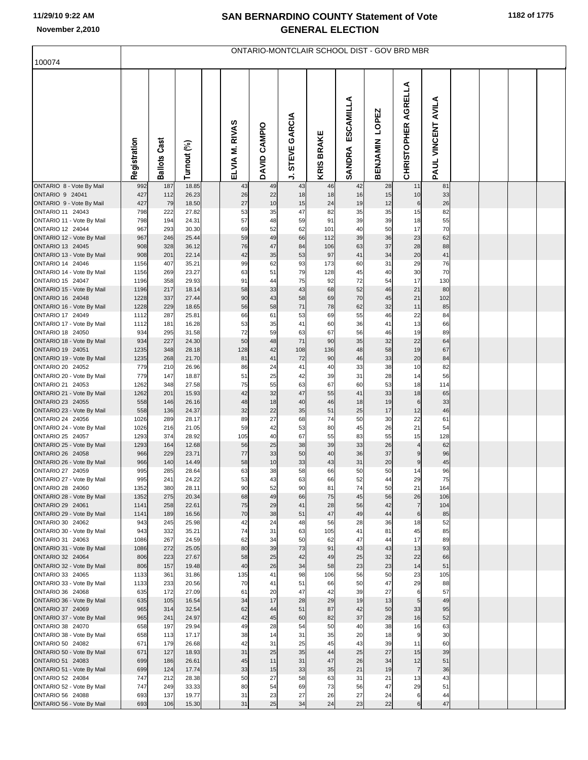## **SAN BERNARDINO COUNTY Statement of Vote November 2,2010 GENERAL ELECTION**

| 100074                                        | ONTARIO-MONTCLAIR SCHOOL DIST - GOV BRD MBR |                        |                |  |                   |              |                             |                      |                            |                          |                               |                                       |  |  |
|-----------------------------------------------|---------------------------------------------|------------------------|----------------|--|-------------------|--------------|-----------------------------|----------------------|----------------------------|--------------------------|-------------------------------|---------------------------------------|--|--|
|                                               |                                             |                        |                |  |                   |              |                             |                      |                            |                          |                               |                                       |  |  |
|                                               | Registration                                | <b>Ballots Cast</b>    | Turnout (%)    |  | RIVAS<br>ELVIA M. | DAVID CAMPIO | GARCIA<br><b>STEVE</b><br>⊸ | <b>BRAKE</b><br>KRIS | ESCAMILLA<br><b>SANDRA</b> | LOPEZ<br><b>BENJAMIN</b> | AGRELLA<br><b>CHRISTOPHER</b> | AVILA<br>VINCENT<br>PAUL <sup>1</sup> |  |  |
| ONTARIO 8 - Vote By Mail<br>ONTARIO 9 24041   | 992<br>427                                  | 187<br>112             | 18.85<br>26.23 |  | 43<br>26          | 49<br>22     | 43<br>18                    | 46<br>18             | 42<br>16                   | 28<br>15                 | 11<br>10                      | 81<br>33                              |  |  |
| ONTARIO 9 - Vote By Mail                      | 427                                         | 79                     | 18.50          |  | 27                | 10           | 15                          | 24                   | 19                         | 12                       | 6                             | 26                                    |  |  |
| ONTARIO 11 24043                              | 798                                         | 222                    | 27.82          |  | 53                | 35           | 47                          | 82                   | 35                         | 35                       | 15                            | 82                                    |  |  |
| ONTARIO 11 - Vote By Mail<br>ONTARIO 12 24044 | 798<br>967                                  | 194<br>293             | 24.31<br>30.30 |  | 57<br>69          | 48<br>52     | 59<br>62                    | 91<br>101            | 39<br>40                   | 39<br>50                 | 18<br>17                      | 55<br>70                              |  |  |
| ONTARIO 12 - Vote By Mail                     | 967                                         | 246                    | 25.44          |  | 59                | 49           | 66                          | 112                  | 39                         | 36                       | 23                            | 62                                    |  |  |
| ONTARIO 13 24045                              | 908                                         | 328                    | 36.12          |  | 76                | 47           | 84                          | 106                  | 63                         | 37                       | 28                            | 88                                    |  |  |
| ONTARIO 13 - Vote By Mail                     | 908                                         | 201                    | 22.14          |  | 42                | 35           | 53                          | 97                   | 41                         | 34                       | 20                            | 41                                    |  |  |
| ONTARIO 14 24046                              | 1156                                        | 407                    | 35.21          |  | 99                | 62           | 93                          | 173                  | 60                         | 31                       | 29                            | 76                                    |  |  |
| ONTARIO 14 - Vote By Mail<br>ONTARIO 15 24047 | 1156<br>1196                                | 269<br>358             | 23.27<br>29.93 |  | 63<br>91          | 51<br>44     | 79<br>75                    | 128<br>92            | 45<br>72                   | 40<br>54                 | 30<br>17                      | 70<br>130                             |  |  |
| ONTARIO 15 - Vote By Mail                     | 1196                                        | 217                    | 18.14          |  | 58                | 33           | 43                          | 68                   | 52                         | 46                       | 21                            | 80                                    |  |  |
| ONTARIO 16 24048                              | 1228                                        | 337                    | 27.44          |  | 90                | 43           | 58                          | 69                   | 70                         | 45                       | 21                            | 102                                   |  |  |
| ONTARIO 16 - Vote By Mail                     | 1228                                        | 229                    | 18.65          |  | 56                | 58           | 71                          | 78                   | 62                         | 32                       | 11                            | 85                                    |  |  |
| ONTARIO 17 24049                              | 1112                                        | 287                    | 25.81          |  | 66                | 61           | 53                          | 69                   | 55                         | 46                       | 22                            | 84                                    |  |  |
| ONTARIO 17 - Vote By Mail<br>ONTARIO 18 24050 | 1112<br>934                                 | 181<br>295             | 16.28<br>31.58 |  | 53<br>72          | 35<br>59     | 41<br>63                    | 60<br>67             | 36<br>56                   | 41<br>46                 | 13<br>19                      | 66<br>89                              |  |  |
| ONTARIO 18 - Vote By Mail                     | 934                                         | 227                    | 24.30          |  | 50                | 48           | 71                          | 90                   | 35                         | 32                       | 22                            | 64                                    |  |  |
| ONTARIO 19 24051                              | 1235                                        | 348                    | 28.18          |  | 128               | 42           | 108                         | 136                  | 48                         | 58                       | 19                            | 67                                    |  |  |
| ONTARIO 19 - Vote By Mail                     | 1235                                        | 268                    | 21.70          |  | 81                | 41           | 72                          | 90                   | 46                         | 33                       | 20                            | 84                                    |  |  |
| ONTARIO 20 24052                              | 779                                         | 210                    | 26.96          |  | 86                | 24           | 41                          | 40                   | 33                         | 38                       | 10                            | 82                                    |  |  |
| ONTARIO 20 - Vote By Mail<br>ONTARIO 21 24053 | 779<br>1262                                 | 147<br>348             | 18.87<br>27.58 |  | 51<br>75          | 25<br>55     | 42<br>63                    | 39<br>67             | 31<br>60                   | 28<br>53                 | 14<br>18                      | 56<br>114                             |  |  |
| ONTARIO 21 - Vote By Mail                     | 1262                                        | 201                    | 15.93          |  | 42                | 32           | 47                          | 55                   | 41                         | 33                       | 18                            | 65                                    |  |  |
| ONTARIO 23 24055                              | 558                                         | 146                    | 26.16          |  | 48                | 18           | 40                          | 46                   | 18                         | 19                       | $\,6$                         | 33                                    |  |  |
| ONTARIO 23 - Vote By Mail                     | 558                                         | 136                    | 24.37          |  | 32                | 22           | 35                          | 51                   | 25                         | 17                       | 12                            | 46                                    |  |  |
| ONTARIO 24 24056<br>ONTARIO 24 - Vote By Mail | 1026<br>1026                                | 289<br>216             | 28.17<br>21.05 |  | 89<br>59          | 27<br>42     | 68<br>53                    | 74<br>80             | 50<br>45                   | 30<br>26                 | 22<br>21                      | 61<br>54                              |  |  |
| ONTARIO 25 24057                              | 1293                                        | 374                    | 28.92          |  | 105               | 40           | 67                          | 55                   | 83                         | 55                       | 15                            | 128                                   |  |  |
| ONTARIO 25 - Vote By Mail                     | 1293                                        | 164                    | 12.68          |  | 56                | 25           | 38                          | 39                   | 33                         | 26                       | $\overline{\mathbf{4}}$       | 62                                    |  |  |
| ONTARIO 26 24058                              | 966                                         | 229                    | 23.71          |  | 77                | 33           | 50                          | 40                   | 36                         | 37                       | $\boldsymbol{9}$              | 96                                    |  |  |
| ONTARIO 26 - Vote By Mail                     | 966                                         | 140                    | 14.49          |  | 58                | 10           | 33                          | 43                   | 31                         | 20                       | $\mathbf 9$                   | 45                                    |  |  |
| ONTARIO 27 24059<br>ONTARIO 27 - Vote By Mail | 995<br>995                                  | 285<br>24 <sup>1</sup> | 28.64<br>24.22 |  | 63<br>53          | 38<br>43     | 58<br>63                    | 66<br>66             | 50<br>52                   | 50<br>44                 | 14<br>29                      | 96<br>75                              |  |  |
| ONTARIO 28 24060                              | 1352                                        | 380                    | 28.11          |  | 90                | 52           | 90                          | 81                   | 74                         | 50                       | 21                            | 164                                   |  |  |
| ONTARIO 28 - Vote By Mail                     | 1352                                        | 275                    | 20.34          |  | 68                | 49           | 66                          | 75                   | 45                         | 56                       | 26                            | 106                                   |  |  |
| ONTARIO 29 24061                              | 1141                                        | 258                    | 22.61          |  | 75                | 29           | 41                          | 28                   | 56                         | 42                       | $\overline{7}$                | 104                                   |  |  |
| ONTARIO 29 - Vote By Mail<br>ONTARIO 30 24062 | 1141<br>943                                 | 189<br>245             | 16.56<br>25.98 |  | 70<br>42          | 38<br>24     | 51<br>48                    | 47<br>56             | 49<br>28                   | 44<br>36                 | 6<br>18                       | 85<br>52                              |  |  |
| ONTARIO 30 - Vote By Mail                     | 943                                         | 332                    | 35.21          |  | 74                | 31           | 63                          | 105                  | 41                         | 81                       | 45                            | 85                                    |  |  |
| ONTARIO 31 24063                              | 1086                                        | 267                    | 24.59          |  | 62                | 34           | 50                          | 62                   | 47                         | 44                       | 17                            | 89                                    |  |  |
| ONTARIO 31 - Vote By Mail                     | 1086                                        | 272                    | 25.05          |  | 80                | 39           | 73                          | 91                   | 43                         | 43                       | 13                            | 93                                    |  |  |
| ONTARIO 32 24064                              | 806                                         | 223                    | 27.67          |  | 58                | 25           | 42                          | 49                   | 25                         | 32                       | 22                            | 66                                    |  |  |
| ONTARIO 32 - Vote By Mail<br>ONTARIO 33 24065 | 806<br>1133                                 | 157<br>361             | 19.48<br>31.86 |  | 40<br>135         | 26<br>41     | 34<br>98                    | 58<br>106            | 23<br>56                   | 23<br>50                 | 14<br>23                      | 51<br>105                             |  |  |
| ONTARIO 33 - Vote By Mail                     | 1133                                        | 233                    | 20.56          |  | 70                | 41           | 51                          | 66                   | 50                         | 47                       | 29                            | 88                                    |  |  |
| ONTARIO 36 24068                              | 635                                         | 172                    | 27.09          |  | 61                | 20           | 47                          | 42                   | 39                         | 27                       | $6\phantom{1}6$               | 57                                    |  |  |
| ONTARIO 36 - Vote By Mail                     | 635                                         | 105                    | 16.54          |  | 34                | 17           | 28                          | 29                   | 19                         | 13                       | 5 <sub>5</sub>                | 49                                    |  |  |
| ONTARIO 37 24069                              | 965                                         | 314                    | 32.54          |  | 62                | 44           | 51                          | 87                   | 42                         | 50                       | 33                            | 95                                    |  |  |
| ONTARIO 37 - Vote By Mail<br>ONTARIO 38 24070 | 965<br>658                                  | 241<br>197             | 24.97<br>29.94 |  | 42<br>49          | 45<br>28     | 60<br>54                    | 82<br>50             | 37<br>40                   | 28<br>38                 | 16<br>16                      | 52<br>63                              |  |  |
| ONTARIO 38 - Vote By Mail                     | 658                                         | 113                    | 17.17          |  | 38                | 14           | 31                          | 35                   | 20                         | 18                       | $\boldsymbol{9}$              | 30                                    |  |  |
| ONTARIO 50 24082                              | 671                                         | 179                    | 26.68          |  | 42                | 31           | 25                          | 45                   | 43                         | 39                       | 11                            | 60                                    |  |  |
| ONTARIO 50 - Vote By Mail                     | 671                                         | 127                    | 18.93          |  | 31                | 25           | 35                          | 44                   | 25                         | 27                       | 15                            | 39                                    |  |  |
| ONTARIO 51 24083                              | 699                                         | 186                    | 26.61          |  | 45                | 11           | 31                          | 47                   | 26                         | 34                       | 12                            | 51                                    |  |  |
| ONTARIO 51 - Vote By Mail<br>ONTARIO 52 24084 | 699<br>747                                  | 124<br>212             | 17.74<br>28.38 |  | 33<br>50          | 15<br>27     | 33<br>58                    | 35<br>63             | 21<br>31                   | 19<br>21                 | $\overline{7}$<br>13          | 36<br>43                              |  |  |
| ONTARIO 52 - Vote By Mail                     | 747                                         | 249                    | 33.33          |  | 80                | 54           | 69                          | 73                   | 56                         | 47                       | 29                            | 51                                    |  |  |
| ONTARIO 56 24088                              | 693                                         | 137                    | 19.77          |  | 31                | 23           | 27                          | 26                   | 27                         | 24                       | 6                             | 44                                    |  |  |
| ONTARIO 56 - Vote By Mail                     | 693                                         | 106                    | 15.30          |  | 31                | 25           | 34                          | 24                   | 23                         | 22                       | $6 \overline{}$               | 47                                    |  |  |